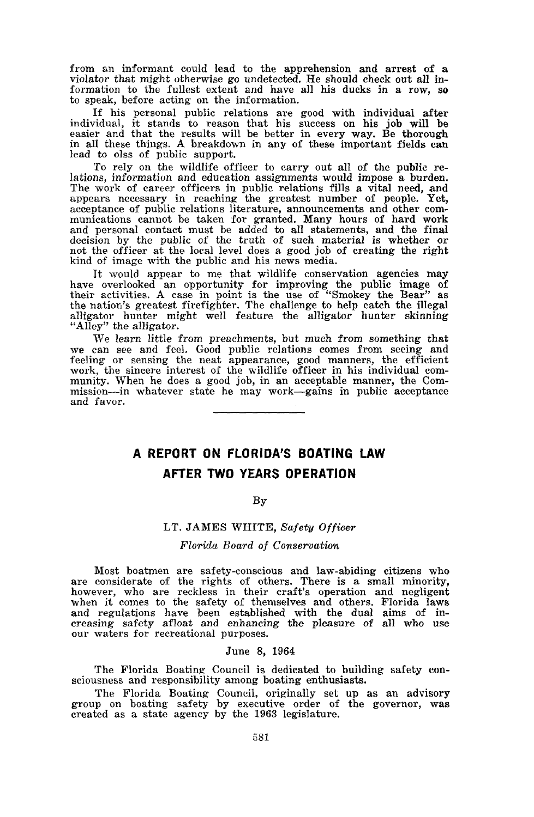from an informant could lead to the apprehension and arrest of <sup>a</sup> violator that might otherwise go undetected. He should check out all information to the fullest extent and have all his ducks in a row, so to speak, before acting on the information.

If his personal public relations are good with individual after individual, it stands to reason that his success on his job will be easier and that the results will be better in every way. Be thorough in all these things. <sup>A</sup> breakdown in any of these important fields can lead to olss of public support.

To rely on the wildlife officer to carry out all of the public re- lations, information and education assignments would impose <sup>a</sup> burden. The work of career officers in public relations fills a vital need, and appears necessary in reaching the greatest number of people. Yet, acceptance of public relations literature, announcements and other communications cannot be taken for granted. Many hours of hard work and personal contact must be added to all statements, and the final decision by the public of the truth of such material is whether or not the officer at the local level does <sup>a</sup> good job of creating the right kind of image with the public and his news media.

It would appear to me that wildlife conservation agencies may have overlooked an opportunity for improving the public image of their activities. <sup>A</sup> case in point is the use of "Smokey the Bear" as the nation's greatest firefighter. The challenge to help catch the illegal alligator hunter might well feature the alligator hunter skinning "Alley" the alligator.

We learn little from preachments, but much from something that we can see and feel. Good public relations comes from seeing and feeling or sensing the neat appearance, good manners, the efficient work, the sincere interest of the wildlife officer in his individual com- munity. When he does <sup>a</sup> good job, in an acceptable manner, the Commission--in whatever state he may work-gains in public acceptance and favor.

# **A REPORT ON FLORIDA'S BOATING LAW AFTER TWO YEARS OPERATION**

### By

## LT. JAMES WHITE, *Safety Officer*

#### *Florida Board of Conservation*

Most boatmen are safety-conscious and law-abiding citizens who are considerate of the rights of others. There is <sup>a</sup> small minority, however, who are reckless in their craft's operation and negligent when it comes to the safety of themselves and others. Florida laws and regulations have been established with the dual aims of in-creasing safety afloat and enhancing the pleasure of all who use our waters for recreational purposes.

#### June 8, 1964

The Florida Boating Council is dedicated to building safety con-<br>sciousness and responsibility among boating enthusiasts.

The Florida Boating Council, originally set up as an advisory group on boating safety by executive order of the governor, was created as <sup>a</sup> state agency by the <sup>1963</sup> legislature.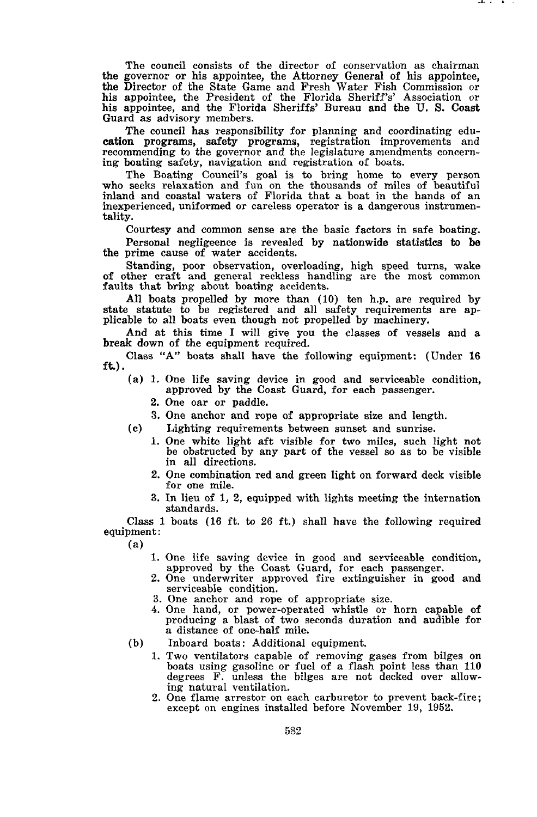The council consists of the director of conservation as chairman the governor or his appointee, the Attorney General of his appointee, the Director of the State Game and Fresh Water Fish Commission or his appointee, the President of the Florida Sheriff's' Association or his appointee, and the Florida Sheriffs' Bureau and the U. S. Coast Guard as advisory members.

. . .

The council has responsibility for planning and coordinating education programs, safety programs, registration improvements and recommending to the governor and the legislature amendments concern- ing boating safety, navigation and registration of boats.

The Boating Council's goal is to bring home to every person who seeks relaxation and fun on the thousands of miles of beautiful inland and coastal waters of Florida that <sup>a</sup> boat in the hands of an inexperienced, uniformed or careless operator is <sup>a</sup> dangerous instrumentality.

Courtesy and common sense are the basic factors in safe boating.

Personal negligeence is revealed by nationwide statistics to be the prime cause of water accidents.

Standing, poor observation, overloading, high speed turns, wake of other craft and general reckless handling are the most common faults that bring about boating accidents.

All boats propelled by more than (10) ten h.p. are required by state statute to be registered and all safety requirements are applicable to all boats even though not propelled by machinery.

And at this time <sup>I</sup> will give you the classes of vessels and <sup>a</sup> break down of the equipment required.

Class "A" boats shall have the following equipment: (Under 16 ft.).

- (a) 1. One life saving device in good and serviceable condition, approved by the Coast Guard, for each passenger.
	- 2. One oar or paddle.
	- 3. One anchor and rope of appropriate size and length.
- (c) Lighting requirements between sunset and sunrise.
	- 1. One white light aft visible for two miles, such light not be obstructed by any part of the vessel so as to be visible in all directions.
	- 2. One combination red and green light on forward deck visible for one mile.
	- 3. In lieu of 1, 2, equipped with lights meeting the internation standards.

Class 1 boats (16 ft. to 26 ft.) shall have the following required equipment:

(a)

- 1. One life saving device in good and serviceable condition, approved by the Coast Guard, for each passenger.
- 2. One underwriter approved fire extinguisher in good and serviceable condition.
- 3. One anchor and rope of appropriate size.
- 4. One hand, or power-operated whistle or horn capable of producing <sup>a</sup> blast of two seconds duration and audible for <sup>a</sup> distance of one-half mile.
- (b) Inboard boats: Additional equipment.
	- 1. Two ventilators capable of removing gases from bilges on boats using gasoline or fuel of <sup>a</sup> flash point less than <sup>110</sup> degrees F. unless the bilges are not decked over allowing natural ventilation.
	- 2. One flame arrestor on each carburetor to prevent back-fire; except on engines installed before November 19, 1952.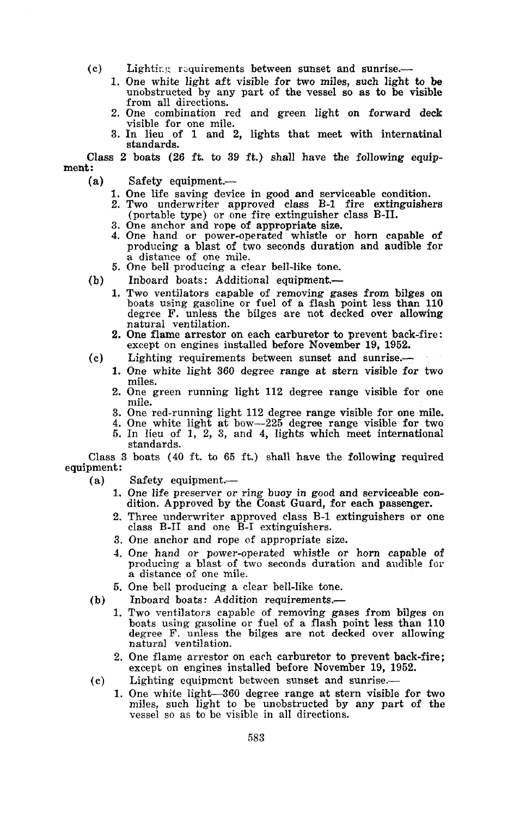- Lighting requirements between sunset and sunrise.-(c)
	- 1. One white light aft visible for two miles, such light to be unobstructed by any part of the vessel so as to be visible from all directions.
	- 2. One combination red and green light on forward deck visible for one mile.
	- 3. In lieu of 1 and 2, lights that meet with internatinal standards.

Class 2 boats (26 ft. to 39 ft.) shall have the following equipment:

- Safety equipment.-(a)
	- 1. One life saving device in good and serviceable condition.
	- 2. Two underwriter approved class B-1 fire extinguishers (portable type) or one fire extinguisher class B-1!.
	- 3. One anchor and rope of appropriate size.
	- 4. One hand or power-operated whistle or horn capable of producing <sup>a</sup> blast of two seconds duration and audible for <sup>a</sup> distance of one mile.
	- 5. One bell producing a clear bell-like tone.
- (b) Inboard boats: Additional equipment.-
	- 1. Two ventilators capable of removing gases from bilges on boats using gasoline or fuel of <sup>a</sup> flash point less than <sup>110</sup> degree F. unless the bilges are not decked over allowing natural ventilation.
	- 2. One flame arrestor on each carburetor to prevent back-fire: except on engines installed before November 19, 1952.
- (c) Lighting requirements between sunset and sunrise.-
	- 1. One white light 360 degree range at stern visible for two miles.
	- 2. One green running light <sup>112</sup> degree range visible for one mile.
	- 3. One red-running light 112 degree range visible for one mile.
	- 4. One white light at bow-225 degree range visible for two 5. In lieu of 1, 2, 3, and 4, lights which meet international standards.

Class 3 boats (40 ft. to 65 ft.) shall have the following required equipment:

- Safety equipment.-(a)
	- One life preserver or ring buoy in good and serviceable con- dition. Approved by the Coast Guard, for each passenger. 1.
	- Three underwriter approved class B-1 extinguishers or one class B-II and one B-1 extinguishers. 2.
	- 3. One anchor and rope of appropriate size.
	- 4. One hand or power-operated whistle or horn capable of producing a blast of two seconds duration and audible for a distance of one mile.
	- 5. One bell producing a clear bell-like tone.
- Inboard boats: Addition requirements.- (b)
	- boats using gasoline or fuel of a flash point less than 110 degree F. unless the bilges are not decked over allowing natural ventilation. 1. Two ventilators capable of removing gases from bilges on
	- 2. One flame arrestor on each carburetor to prevent back-fire; except on engines installed before November 19, 1952.
- Lighting equipmcnt between sunset and sunrise.- (c)
	- 1. One white light-360 degree range at stern visible for two miles, such light to be unobstructed by any part of the vessel so as to be visible in all directions.